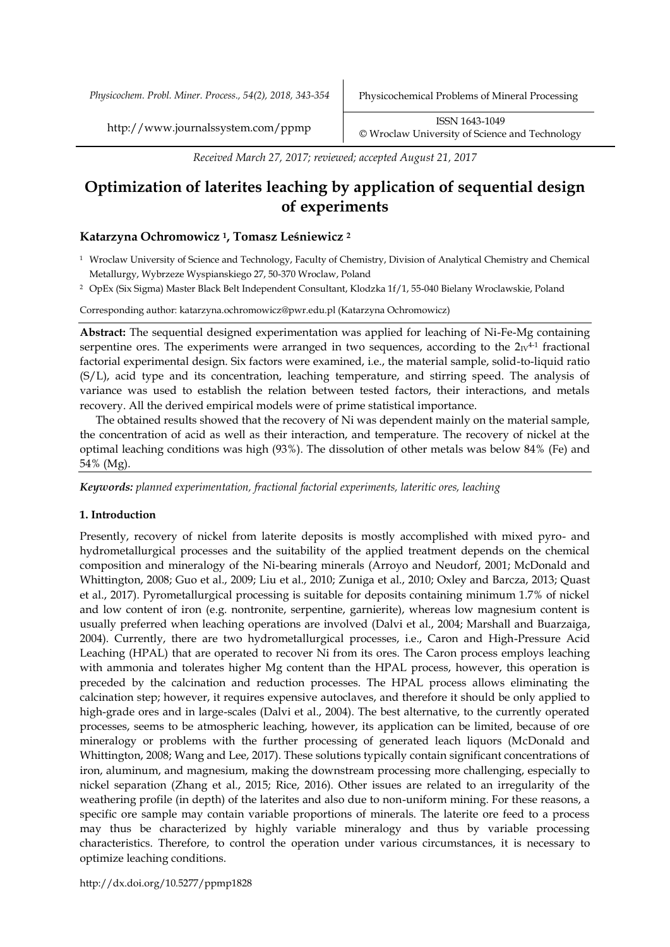*Physicochem. Probl. Miner. Process., 54(2), 2018, 343-354* Physicochemical Problems of Mineral Processing

http://www.journalssystem.com/ppmp ISSN 1643-1049 [©](http://www.minproc.pwr.wroc.pl/journal/) Wroclaw University of Science and Technology

*Received March 27, 2017; reviewed; accepted August 21, 2017*

# **Optimization of laterites leaching by application of sequential design of experiments**

# **Katarzyna Ochromowicz 1, Tomasz Leśniewicz <sup>2</sup>**

<sup>1</sup> Wroclaw University of Science and Technology, Faculty of Chemistry, Division of Analytical Chemistry and Chemical Metallurgy, Wybrzeze Wyspianskiego 27, 50-370 Wroclaw, Poland

<sup>2</sup> OpEx (Six Sigma) Master Black Belt Independent Consultant, Klodzka 1f/1, 55-040 Bielany Wroclawskie, Poland

Corresponding author: katarzyna.ochromowicz@pwr.edu.pl (Katarzyna Ochromowicz)

**Abstract:** The sequential designed experimentation was applied for leaching of Ni-Fe-Mg containing serpentine ores. The experiments were arranged in two sequences, according to the  $2_W^{4-1}$  fractional factorial experimental design. Six factors were examined, i.e., the material sample, solid-to-liquid ratio (S/L), acid type and its concentration, leaching temperature, and stirring speed. The analysis of variance was used to establish the relation between tested factors, their interactions, and metals recovery. All the derived empirical models were of prime statistical importance.

The obtained results showed that the recovery of Ni was dependent mainly on the material sample, the concentration of acid as well as their interaction, and temperature. The recovery of nickel at the optimal leaching conditions was high (93%). The dissolution of other metals was below 84% (Fe) and 54% (Mg).

*Keywords: planned experimentation, fractional factorial experiments, lateritic ores, leaching*

# **1. Introduction**

Presently, recovery of nickel from laterite deposits is mostly accomplished with mixed pyro- and hydrometallurgical processes and the suitability of the applied treatment depends on the chemical composition and mineralogy of the Ni-bearing minerals (Arroyo and Neudorf, 2001; McDonald and Whittington, 2008; Guo et al., 2009; Liu et al., 2010; Zuniga et al., 2010; Oxley and Barcza, 2013; Quast et al., 2017). Pyrometallurgical processing is suitable for deposits containing minimum 1.7% of nickel and low content of iron (e.g. nontronite, serpentine, garnierite), whereas low magnesium content is usually preferred when leaching operations are involved (Dalvi et al., 2004; Marshall and Buarzaiga, 2004). Currently, there are two hydrometallurgical processes, i.e., Caron and High-Pressure Acid Leaching (HPAL) that are operated to recover Ni from its ores. The Caron process employs leaching with ammonia and tolerates higher Mg content than the HPAL process, however, this operation is preceded by the calcination and reduction processes. The HPAL process allows eliminating the calcination step; however, it requires expensive autoclaves, and therefore it should be only applied to high-grade ores and in large-scales (Dalvi et al., 2004). The best alternative, to the currently operated processes, seems to be atmospheric leaching, however, its application can be limited, because of ore mineralogy or problems with the further processing of generated leach liquors (McDonald and Whittington, 2008; Wang and Lee, 2017). These solutions typically contain significant concentrations of iron, aluminum, and magnesium, making the downstream processing more challenging, especially to nickel separation (Zhang et al., 2015; Rice, 2016). Other issues are related to an irregularity of the weathering profile (in depth) of the laterites and also due to non-uniform mining. For these reasons, a specific ore sample may contain variable proportions of minerals. The laterite ore feed to a process may thus be characterized by highly variable mineralogy and thus by variable processing characteristics. Therefore, to control the operation under various circumstances, it is necessary to optimize leaching conditions.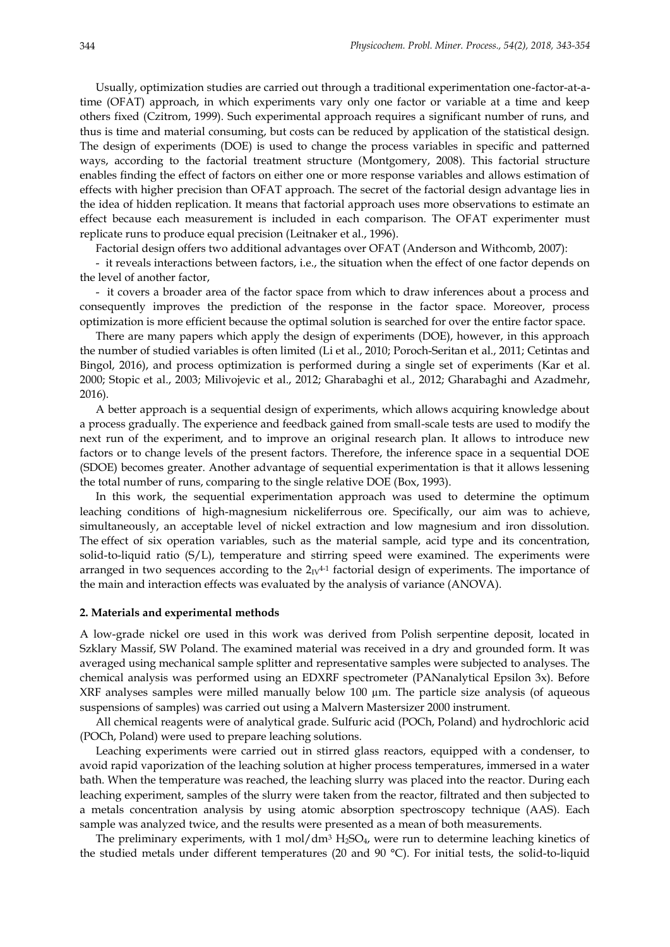Usually, optimization studies are carried out through a traditional experimentation one-factor-at-atime (OFAT) approach, in which experiments vary only one factor or variable at a time and keep others fixed (Czitrom, 1999). Such experimental approach requires a significant number of runs, and thus is time and material consuming, but costs can be reduced by application of the statistical design. The design of experiments (DOE) is used to change the process variables in specific and patterned ways, according to the factorial treatment structure (Montgomery, 2008). This factorial structure enables finding the effect of factors on either one or more response variables and allows estimation of effects with higher precision than OFAT approach. The secret of the factorial design advantage lies in the idea of hidden replication. It means that factorial approach uses more observations to estimate an effect because each measurement is included in each comparison. The OFAT experimenter must replicate runs to produce equal precision (Leitnaker et al., 1996).

Factorial design offers two additional advantages over OFAT (Anderson and Withcomb, 2007):

- it reveals interactions between factors, i.e., the situation when the effect of one factor depends on the level of another factor,

- it covers a broader area of the factor space from which to draw inferences about a process and consequently improves the prediction of the response in the factor space. Moreover, process optimization is more efficient because the optimal solution is searched for over the entire factor space.

There are many papers which apply the design of experiments (DOE), however, in this approach the number of studied variables is often limited (Li et al., 2010; Poroch-Seritan et al., 2011; Cetintas and Bingol, 2016), and process optimization is performed during a single set of experiments (Kar et al. 2000; Stopic et al., 2003; Milivojevic et al., 2012; Gharabaghi et al., 2012; Gharabaghi and Azadmehr, 2016).

A better approach is a sequential design of experiments, which allows acquiring knowledge about a process gradually. The experience and feedback gained from small-scale tests are used to modify the next run of the experiment, and to improve an original research plan. It allows to introduce new factors or to change levels of the present factors. Therefore, the inference space in a sequential DOE (SDOE) becomes greater. Another advantage of sequential experimentation is that it allows lessening the total number of runs, comparing to the single relative DOE (Box, 1993).

In this work, the sequential experimentation approach was used to determine the optimum leaching conditions of high-magnesium nickeliferrous ore. Specifically, our aim was to achieve, simultaneously, an acceptable level of nickel extraction and low magnesium and iron dissolution. The effect of six operation variables, such as the material sample, acid type and its concentration, solid-to-liquid ratio (S/L), temperature and stirring speed were examined. The experiments were arranged in two sequences according to the  $2_1v^{4-1}$  factorial design of experiments. The importance of the main and interaction effects was evaluated by the analysis of variance (ANOVA).

#### **2. Materials and experimental methods**

A low-grade nickel ore used in this work was derived from Polish serpentine deposit, located in Szklary Massif, SW Poland. The examined material was received in a dry and grounded form. It was averaged using mechanical sample splitter and representative samples were subjected to analyses. The chemical analysis was performed using an EDXRF spectrometer (PANanalytical Epsilon 3x). Before XRF analyses samples were milled manually below 100  $\mu$ m. The particle size analysis (of aqueous suspensions of samples) was carried out using a Malvern Mastersizer 2000 instrument.

All chemical reagents were of analytical grade. Sulfuric acid (POCh, Poland) and hydrochloric acid (POCh, Poland) were used to prepare leaching solutions.

Leaching experiments were carried out in stirred glass reactors, equipped with a condenser, to avoid rapid vaporization of the leaching solution at higher process temperatures, immersed in a water bath. When the temperature was reached, the leaching slurry was placed into the reactor. During each leaching experiment, samples of the slurry were taken from the reactor, filtrated and then subjected to a metals concentration analysis by using atomic absorption spectroscopy technique (AAS). Each sample was analyzed twice, and the results were presented as a mean of both measurements.

The preliminary experiments, with 1 mol/dm<sup>3</sup>  $H_2SO_4$ , were run to determine leaching kinetics of the studied metals under different temperatures (20 and 90 °C). For initial tests, the solid-to-liquid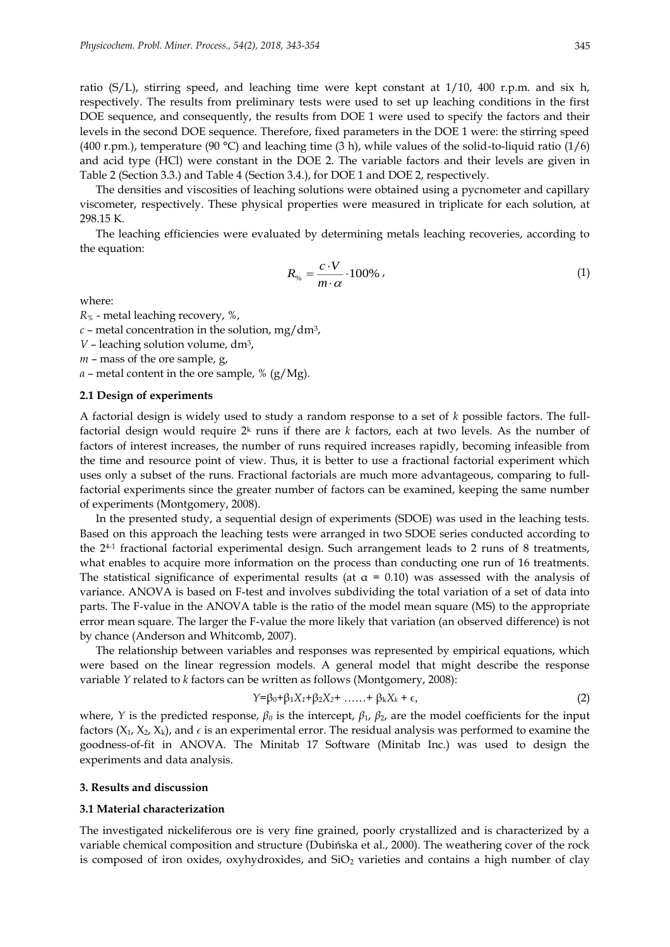ratio (S/L), stirring speed, and leaching time were kept constant at 1/10, 400 r.p.m. and six h, respectively. The results from preliminary tests were used to set up leaching conditions in the first DOE sequence, and consequently, the results from DOE 1 were used to specify the factors and their levels in the second DOE sequence. Therefore, fixed parameters in the DOE 1 were: the stirring speed (400 r.pm.), temperature (90 °C) and leaching time (3 h), while values of the solid-to-liquid ratio (1/6) and acid type (HCl) were constant in the DOE 2. The variable factors and their levels are given in Table 2 (Section 3.3.) and Table 4 (Section 3.4.), for DOE 1 and DOE 2, respectively.

The densities and viscosities of leaching solutions were obtained using a pycnometer and capillary viscometer, respectively. These physical properties were measured in triplicate for each solution, at 298.15 K.

The leaching efficiencies were evaluated by determining metals leaching recoveries, according to the equation:

$$
R_{\%} = \frac{c \cdot V}{m \cdot \alpha} \cdot 100\% \tag{1}
$$

where:

*R%* - metal leaching recovery, %,

 $c$  – metal concentration in the solution, mg/dm<sup>3</sup>,

*V* – leaching solution volume, dm<sup>3</sup>,

*m* – mass of the ore sample, g,

*α* – metal content in the ore sample, % (g/Mg).

#### **2.1 Design of experiments**

A factorial design is widely used to study a random response to a set of *k* possible factors. The fullfactorial design would require 2<sup>k</sup> runs if there are *k* factors, each at two levels. As the number of factors of interest increases, the number of runs required increases rapidly, becoming infeasible from the time and resource point of view. Thus, it is better to use a fractional factorial experiment which uses only a subset of the runs. Fractional factorials are much more advantageous, comparing to fullfactorial experiments since the greater number of factors can be examined, keeping the same number of experiments (Montgomery, 2008).

In the presented study, a sequential design of experiments (SDOE) was used in the leaching tests. Based on this approach the leaching tests were arranged in two SDOE series conducted according to the 24-1 fractional factorial experimental design. Such arrangement leads to 2 runs of 8 treatments, what enables to acquire more information on the process than conducting one run of 16 treatments. The statistical significance of experimental results (at  $\alpha = 0.10$ ) was assessed with the analysis of variance. ANOVA is based on F-test and involves subdividing the total variation of a set of data into parts. The F-value in the ANOVA table is the ratio of the model mean square (MS) to the appropriate error mean square. The larger the F-value the more likely that variation (an observed difference) is not by chance (Anderson and Whitcomb, 2007).

The relationship between variables and responses was represented by empirical equations, which were based on the linear regression models. A general model that might describe the response variable *Y* related to *k* factors can be written as follows (Montgomery, 2008):

$$
Y = \beta_0 + \beta_1 X_1 + \beta_2 X_2 + \dots + \beta_k X_k + \epsilon,
$$
\n(2)

where, *Y* is the predicted response,  $\beta_0$  is the intercept,  $\beta_1$ ,  $\beta_2$ , are the model coefficients for the input factors  $(X_1, X_2, X_k)$ , and  $\epsilon$  is an experimental error. The residual analysis was performed to examine the goodness-of-fit in ANOVA. The Minitab 17 Software (Minitab Inc.) was used to design the experiments and data analysis.

#### **3. Results and discussion**

#### **3.1 Material characterization**

The investigated nickeliferous ore is very fine grained, poorly crystallized and is characterized by a variable chemical composition and structure (Dubińska et al., 2000). The weathering cover of the rock is composed of iron oxides, oxyhydroxides, and  $SiO<sub>2</sub>$  varieties and contains a high number of clay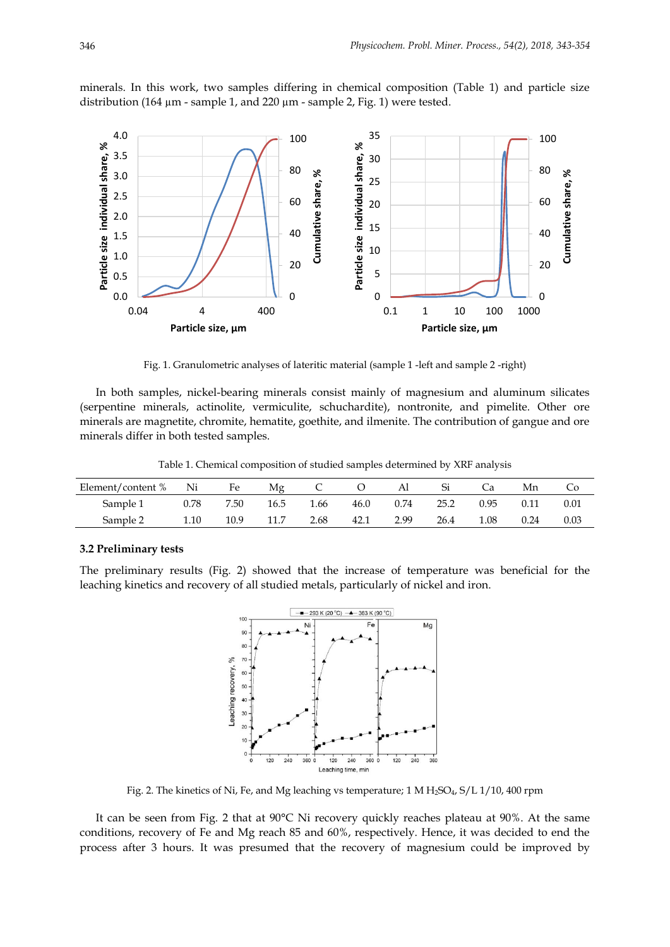minerals. In this work, two samples differing in chemical composition (Table 1) and particle size distribution (164 µm - sample 1, and 220 µm - sample 2, Fig. 1) were tested.



Fig. 1. Granulometric analyses of lateritic material (sample 1 -left and sample 2 -right)

In both samples, nickel-bearing minerals consist mainly of magnesium and aluminum silicates (serpentine minerals, actinolite, vermiculite, schuchardite), nontronite, and pimelite. Other ore minerals are magnetite, chromite, hematite, goethite, and ilmenite. The contribution of gangue and ore minerals differ in both tested samples.

Table 1. Chemical composition of studied samples determined by XRF analysis

| Element/content % Ni |      | Fe   | Мg   |      |      | Al   |      |      | Mn   | Co.  |
|----------------------|------|------|------|------|------|------|------|------|------|------|
| Sample 1             | 0.78 | 7.50 | 16.5 | 1.66 | 46.0 | 0.74 | 25.2 | 0.95 | 0.11 | 0.01 |
| Sample 2             | 1.10 | 10.9 |      | 2.68 | 42.1 | 2.99 | 26.4 | 1.08 | 0.24 | 0.03 |

#### **3.2 Preliminary tests**

The preliminary results (Fig. 2) showed that the increase of temperature was beneficial for the leaching kinetics and recovery of all studied metals, particularly of nickel and iron.



Fig. 2. The kinetics of Ni, Fe, and Mg leaching vs temperature; 1 M  $H_2SO_4$ ,  $S/L1/10$ , 400 rpm

It can be seen from Fig. 2 that at 90°C Ni recovery quickly reaches plateau at 90%. At the same conditions, recovery of Fe and Mg reach 85 and 60%, respectively. Hence, it was decided to end the process after 3 hours. It was presumed that the recovery of magnesium could be improved by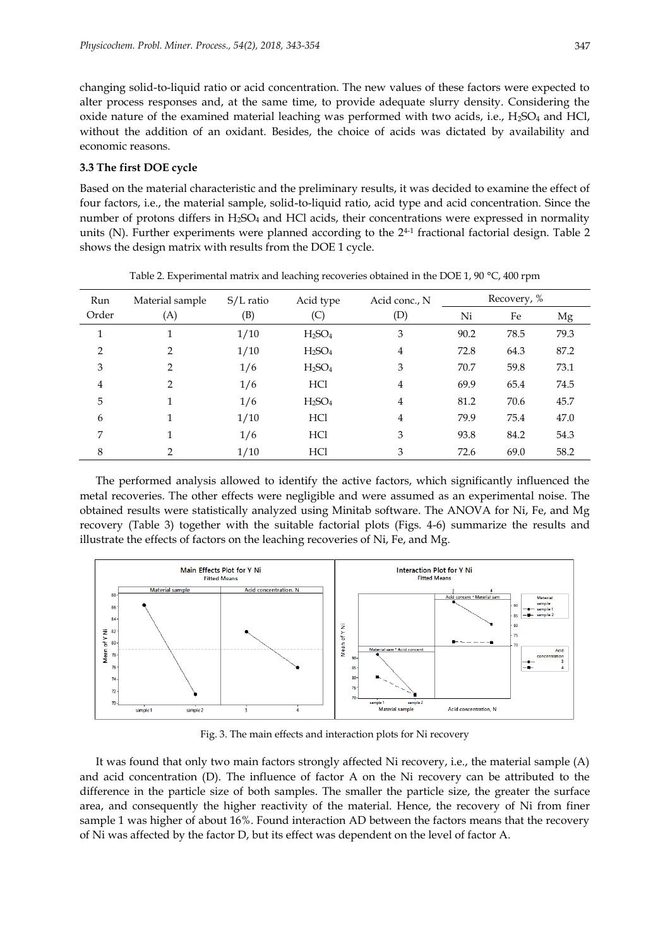changing solid-to-liquid ratio or acid concentration. The new values of these factors were expected to alter process responses and, at the same time, to provide adequate slurry density. Considering the oxide nature of the examined material leaching was performed with two acids, i.e.,  $H_2SO_4$  and HCl, without the addition of an oxidant. Besides, the choice of acids was dictated by availability and economic reasons.

# **3.3 The first DOE cycle**

Based on the material characteristic and the preliminary results, it was decided to examine the effect of four factors, i.e., the material sample, solid-to-liquid ratio, acid type and acid concentration. Since the number of protons differs in H<sub>2</sub>SO<sub>4</sub> and HCl acids, their concentrations were expressed in normality units (N). Further experiments were planned according to the 24-1 fractional factorial design. Table 2 shows the design matrix with results from the DOE 1 cycle.

| Run           | Material sample | $S/L$ ratio | Acid type                      | Acid conc., N | Recovery, % |      |      |
|---------------|-----------------|-------------|--------------------------------|---------------|-------------|------|------|
| Order         | (A)             | (B)         | (C)                            | (D)           | Ni          | Fe   | Mg   |
| 1             | 1               | 1/10        | $H_2SO_4$                      | 3             | 90.2        | 78.5 | 79.3 |
| $\mathcal{P}$ | $\mathcal{P}$   | 1/10        | H <sub>2</sub> SO <sub>4</sub> | 4             | 72.8        | 64.3 | 87.2 |
| 3             | $\mathcal{P}$   | 1/6         | H <sub>2</sub> SO <sub>4</sub> | 3             | 70.7        | 59.8 | 73.1 |
| 4             | $\mathcal{P}$   | 1/6         | HC <sub>1</sub>                | 4             | 69.9        | 65.4 | 74.5 |
| 5             | 1               | 1/6         | H <sub>2</sub> SO <sub>4</sub> | 4             | 81.2        | 70.6 | 45.7 |
| 6             | 1               | 1/10        | HC <sub>1</sub>                | 4             | 79.9        | 75.4 | 47.0 |
| 7             | 1               | 1/6         | HC <sub>1</sub>                | 3             | 93.8        | 84.2 | 54.3 |
| 8             | 2               | 1/10        | HC <sub>1</sub>                | 3             | 72.6        | 69.0 | 58.2 |

Table 2. Experimental matrix and leaching recoveries obtained in the DOE 1, 90 °C, 400 rpm

The performed analysis allowed to identify the active factors, which significantly influenced the metal recoveries. The other effects were negligible and were assumed as an experimental noise. The obtained results were statistically analyzed using Minitab software. The ANOVA for Ni, Fe, and Mg recovery (Table 3) together with the suitable factorial plots (Figs. 4-6) summarize the results and illustrate the effects of factors on the leaching recoveries of Ni, Fe, and Mg.



Fig. 3. The main effects and interaction plots for Ni recovery

It was found that only two main factors strongly affected Ni recovery, i.e., the material sample (A) and acid concentration (D). The influence of factor A on the Ni recovery can be attributed to the difference in the particle size of both samples. The smaller the particle size, the greater the surface area, and consequently the higher reactivity of the material. Hence, the recovery of Ni from finer sample 1 was higher of about 16%. Found interaction AD between the factors means that the recovery of Ni was affected by the factor D, but its effect was dependent on the level of factor A.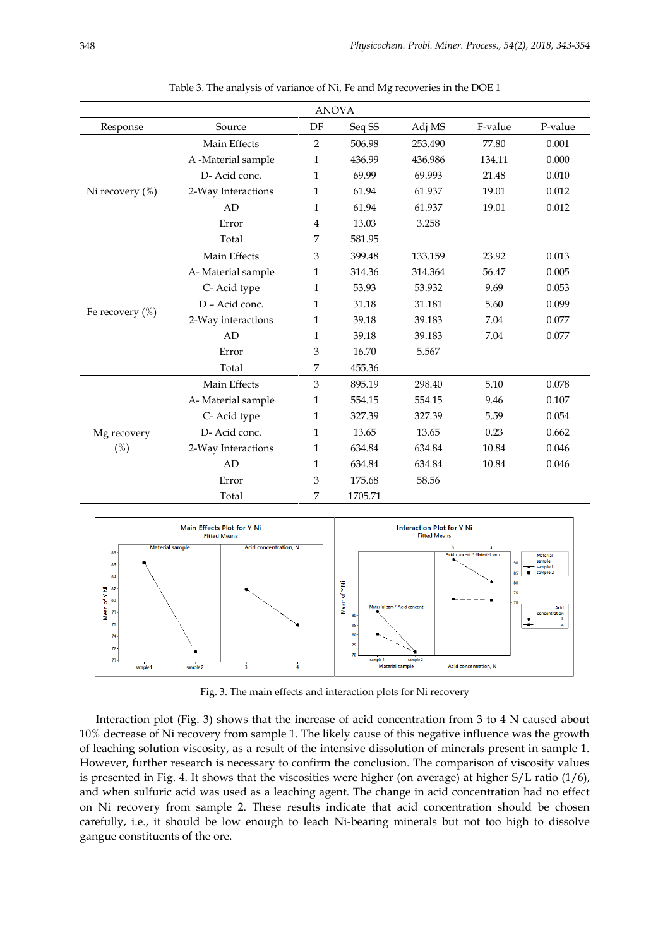| <b>ANOVA</b>    |                    |                |         |         |         |         |  |
|-----------------|--------------------|----------------|---------|---------|---------|---------|--|
| Response        | Source             | DF             | Seq SS  | Adj MS  | F-value | P-value |  |
|                 | Main Effects       | 2              | 506.98  | 253.490 | 77.80   | 0.001   |  |
|                 | A -Material sample | 1              | 436.99  | 436.986 | 134.11  | 0.000   |  |
|                 | D- Acid conc.      | 1              | 69.99   | 69.993  | 21.48   | 0.010   |  |
| Ni recovery (%) | 2-Way Interactions | $\mathbf{1}$   | 61.94   | 61.937  | 19.01   | 0.012   |  |
|                 | AD                 | 1              | 61.94   | 61.937  | 19.01   | 0.012   |  |
|                 | Error              | $\overline{4}$ | 13.03   | 3.258   |         |         |  |
|                 | Total              | 7              | 581.95  |         |         |         |  |
|                 | Main Effects       | $\mathfrak{Z}$ | 399.48  | 133.159 | 23.92   | 0.013   |  |
|                 | A-Material sample  | 1              | 314.36  | 314.364 | 56.47   | 0.005   |  |
|                 | C-Acid type        | 1              | 53.93   | 53.932  | 9.69    | 0.053   |  |
|                 | D - Acid conc.     | 1              | 31.18   | 31.181  | 5.60    | 0.099   |  |
| Fe recovery (%) | 2-Way interactions | 1              | 39.18   | 39.183  | 7.04    | 0.077   |  |
|                 | AD                 | 1              | 39.18   | 39.183  | 7.04    | 0.077   |  |
|                 | Error              | 3              | 16.70   | 5.567   |         |         |  |
|                 | Total              | 7              | 455.36  |         |         |         |  |
|                 | Main Effects       | $\mathfrak{Z}$ | 895.19  | 298.40  | 5.10    | 0.078   |  |
|                 | A-Material sample  | 1              | 554.15  | 554.15  | 9.46    | 0.107   |  |
|                 | C-Acid type        | 1              | 327.39  | 327.39  | 5.59    | 0.054   |  |
| Mg recovery     | D- Acid conc.      | 1              | 13.65   | 13.65   | 0.23    | 0.662   |  |
| (%)             | 2-Way Interactions | $\mathbf{1}$   | 634.84  | 634.84  | 10.84   | 0.046   |  |
|                 | AD                 | 1              | 634.84  | 634.84  | 10.84   | 0.046   |  |
|                 | Error              | 3              | 175.68  | 58.56   |         |         |  |
|                 | Total              | 7              | 1705.71 |         |         |         |  |

Table 3. The analysis of variance of Ni, Fe and Mg recoveries in the DOE 1



Fig. 3. The main effects and interaction plots for Ni recovery

Interaction plot (Fig. 3) shows that the increase of acid concentration from 3 to 4 N caused about 10% decrease of Ni recovery from sample 1. The likely cause of this negative influence was the growth of leaching solution viscosity, as a result of the intensive dissolution of minerals present in sample 1. However, further research is necessary to confirm the conclusion. The comparison of viscosity values is presented in Fig. 4. It shows that the viscosities were higher (on average) at higher S/L ratio (1/6), and when sulfuric acid was used as a leaching agent. The change in acid concentration had no effect on Ni recovery from sample 2. These results indicate that acid concentration should be chosen carefully, i.e., it should be low enough to leach Ni-bearing minerals but not too high to dissolve gangue constituents of the ore.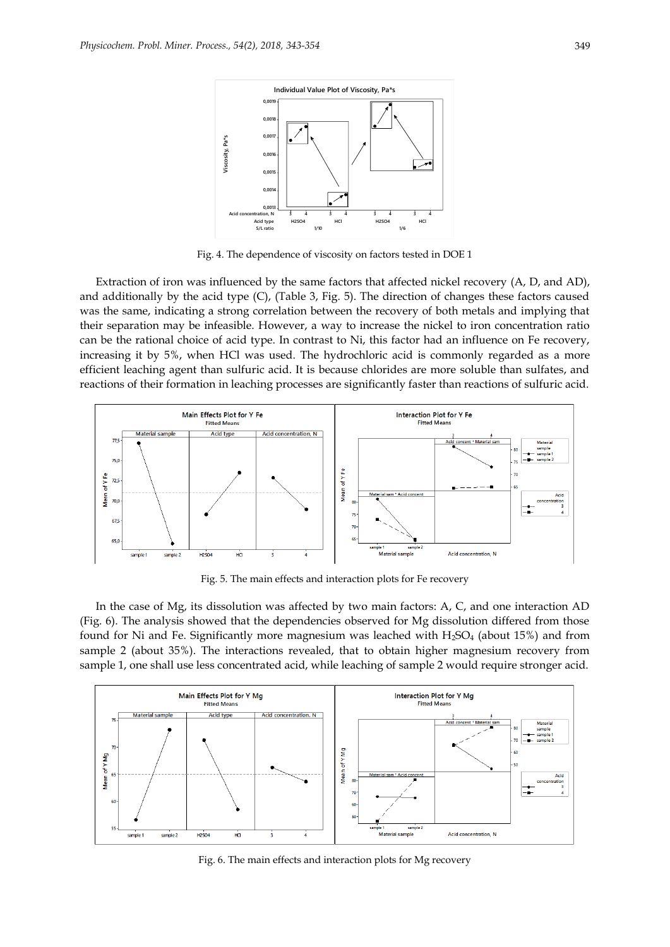

Fig. 4. The dependence of viscosity on factors tested in DOE 1

Extraction of iron was influenced by the same factors that affected nickel recovery (A, D, and AD), and additionally by the acid type (C), (Table 3, Fig. 5). The direction of changes these factors caused was the same, indicating a strong correlation between the recovery of both metals and implying that their separation may be infeasible. However, a way to increase the nickel to iron concentration ratio can be the rational choice of acid type. In contrast to Ni, this factor had an influence on Fe recovery, increasing it by 5%, when HCl was used. The hydrochloric acid is commonly regarded as a more efficient leaching agent than sulfuric acid. It is because chlorides are more soluble than sulfates, and reactions of their formation in leaching processes are significantly faster than reactions of sulfuric acid.



Fig. 5. The main effects and interaction plots for Fe recovery

In the case of Mg, its dissolution was affected by two main factors: A, C, and one interaction AD (Fig. 6). The analysis showed that the dependencies observed for Mg dissolution differed from those found for Ni and Fe. Significantly more magnesium was leached with  $H_2SO_4$  (about 15%) and from sample 2 (about 35%). The interactions revealed, that to obtain higher magnesium recovery from sample 1, one shall use less concentrated acid, while leaching of sample 2 would require stronger acid.



Fig. 6. The main effects and interaction plots for Mg recovery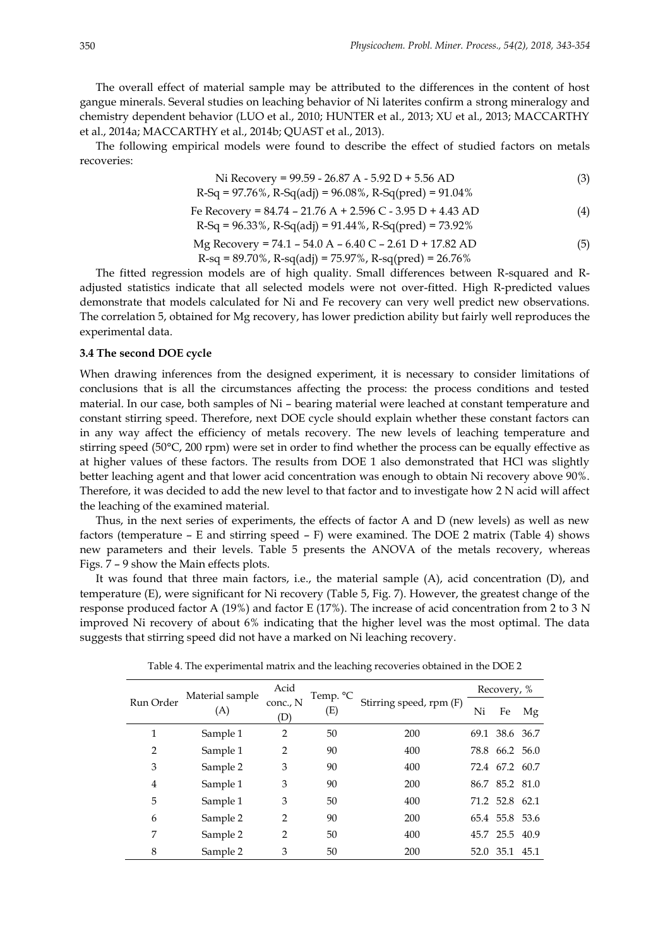The overall effect of material sample may be attributed to the differences in the content of host gangue minerals. Several studies on leaching behavior of Ni laterites confirm a strong mineralogy and chemistry dependent behavior (LUO et al., 2010; HUNTER et al., 2013; XU et al., 2013; MACCARTHY et al., 2014a; MACCARTHY et al., 2014b; QUAST et al., 2013).

The following empirical models were found to describe the effect of studied factors on metals recoveries:

Ni Recovery = 99.59 - 26.87 A - 5.92 D + 5.56 AD (3) R-Sq = 97.76%, R-Sq(adj) = 96.08%, R-Sq(pred) = 91.04%

$$
F = \text{Recovery} = 84.74 - 21.76 \text{ A} + 2.596 \text{ C} - 3.95 \text{ D} + 4.43 \text{ AD}
$$
\n
$$
R - \text{Sq} = 96.33\%, \text{ R-Sq(adj)} = 91.44\%, \text{ R-Sq(pred)} = 73.92\%
$$
\n
$$
M = \text{Recovery} = 74.1 - 54.0 \text{ A} + 64.0 \text{ C} - 3.61 \text{ D} + 17.82 \text{ AD}
$$
\n
$$
(5)
$$

$$
Mg Recovery = 74.1 - 54.0 A - 6.40 C - 2.61 D + 17.82 AD
$$
\n
$$
R-sq = 89.70\%, R-sq(adj) = 75.97\%, R-sq(pred) = 26.76\%
$$
\n(5)

The fitted regression models are of high quality. Small differences between R-squared and Radjusted statistics indicate that all selected models were not over-fitted. High R-predicted values demonstrate that models calculated for Ni and Fe recovery can very well predict new observations. The correlation 5, obtained for Mg recovery, has lower prediction ability but fairly well reproduces the experimental data.

### **3.4 The second DOE cycle**

When drawing inferences from the designed experiment, it is necessary to consider limitations of conclusions that is all the circumstances affecting the process: the process conditions and tested material. In our case, both samples of Ni – bearing material were leached at constant temperature and constant stirring speed. Therefore, next DOE cycle should explain whether these constant factors can in any way affect the efficiency of metals recovery. The new levels of leaching temperature and stirring speed (50°C, 200 rpm) were set in order to find whether the process can be equally effective as at higher values of these factors. The results from DOE 1 also demonstrated that HCl was slightly better leaching agent and that lower acid concentration was enough to obtain Ni recovery above 90%. Therefore, it was decided to add the new level to that factor and to investigate how 2 N acid will affect the leaching of the examined material.

Thus, in the next series of experiments, the effects of factor A and D (new levels) as well as new factors (temperature – E and stirring speed – F) were examined. The DOE 2 matrix (Table 4) shows new parameters and their levels. Table 5 presents the ANOVA of the metals recovery, whereas Figs. 7 – 9 show the Main effects plots.

It was found that three main factors, i.e., the material sample (A), acid concentration (D), and temperature (E), were significant for Ni recovery (Table 5, Fig. 7). However, the greatest change of the response produced factor A (19%) and factor E (17%). The increase of acid concentration from 2 to 3 N improved Ni recovery of about 6% indicating that the higher level was the most optimal. The data suggests that stirring speed did not have a marked on Ni leaching recovery.

|                | Material sample<br>(A) | Acid            | Temp. °C |                         | Recovery, % |                |    |
|----------------|------------------------|-----------------|----------|-------------------------|-------------|----------------|----|
| Run Order      |                        | conc., N<br>(D) | (E)      | Stirring speed, rpm (F) | Ni          | Fe             | Mg |
| 1              | Sample 1               | $\overline{2}$  | 50       | 200                     |             | 69.1 38.6 36.7 |    |
| $\overline{2}$ | Sample 1               | $\overline{2}$  | 90       | 400                     | 78.8        | 66.2 56.0      |    |
| 3              | Sample 2               | 3               | 90       | 400                     | 72.4        | 67.2 60.7      |    |
| 4              | Sample 1               | 3               | 90       | 200                     |             | 86.7 85.2 81.0 |    |
| 5              | Sample 1               | 3               | 50       | 400                     |             | 71.2 52.8 62.1 |    |
| 6              | Sample 2               | $\overline{2}$  | 90       | 200                     |             | 65.4 55.8 53.6 |    |
| 7              | Sample 2               | $\overline{2}$  | 50       | 400                     |             | 45.7 25.5 40.9 |    |
| 8              | Sample 2               | 3               | 50       | 200                     | 52.0        | 35.1 45.1      |    |

Table 4. The experimental matrix and the leaching recoveries obtained in the DOE 2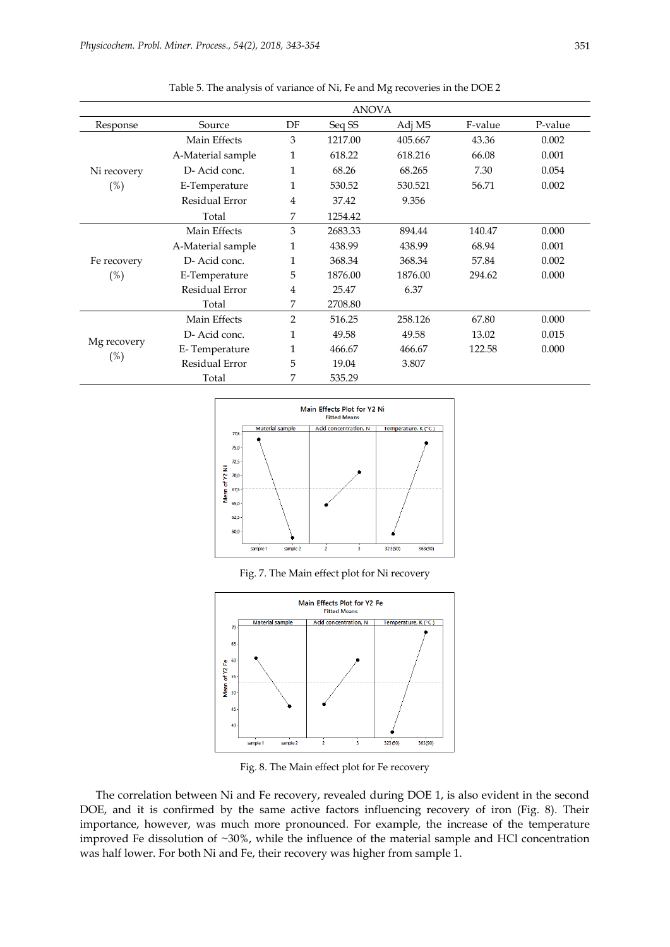|                       |                   |              | <b>ANOVA</b> |         |         |         |
|-----------------------|-------------------|--------------|--------------|---------|---------|---------|
| Response              | Source            | DF           | Seq SS       | Adj MS  | F-value | P-value |
|                       | Main Effects      | 3            | 1217.00      | 405.667 | 43.36   | 0.002   |
|                       | A-Material sample | 1            | 618.22       | 618.216 | 66.08   | 0.001   |
| Ni recovery           | D-Acid conc.      | $\mathbf{1}$ | 68.26        | 68.265  | 7.30    | 0.054   |
| $(\%)$                | E-Temperature     | 1            | 530.52       | 530.521 | 56.71   | 0.002   |
|                       | Residual Error    | 4            | 37.42        | 9.356   |         |         |
|                       | Total             | 7            | 1254.42      |         |         |         |
| Fe recovery           | Main Effects      | 3            | 2683.33      | 894.44  | 140.47  | 0.000   |
|                       | A-Material sample | 1            | 438.99       | 438.99  | 68.94   | 0.001   |
|                       | D-Acid conc.      | 1            | 368.34       | 368.34  | 57.84   | 0.002   |
| $(\%)$                | E-Temperature     | 5            | 1876.00      | 1876.00 | 294.62  | 0.000   |
|                       | Residual Error    | 4            | 25.47        | 6.37    |         |         |
|                       | Total             | 7            | 2708.80      |         |         |         |
|                       | Main Effects      | 2            | 516.25       | 258.126 | 67.80   | 0.000   |
| Mg recovery<br>$(\%)$ | D-Acid conc.      | 1            | 49.58        | 49.58   | 13.02   | 0.015   |
|                       | E-Temperature     | 1            | 466.67       | 466.67  | 122.58  | 0.000   |
|                       | Residual Error    | 5            | 19.04        | 3.807   |         |         |
|                       | Total             | 7            | 535.29       |         |         |         |

Table 5. The analysis of variance of Ni, Fe and Mg recoveries in the DOE 2



Fig. 7. The Main effect plot for Ni recovery



Fig. 8. The Main effect plot for Fe recovery

The correlation between Ni and Fe recovery, revealed during DOE 1, is also evident in the second DOE, and it is confirmed by the same active factors influencing recovery of iron (Fig. 8). Their importance, however, was much more pronounced. For example, the increase of the temperature improved Fe dissolution of ~30%, while the influence of the material sample and HCl concentration was half lower. For both Ni and Fe, their recovery was higher from sample 1.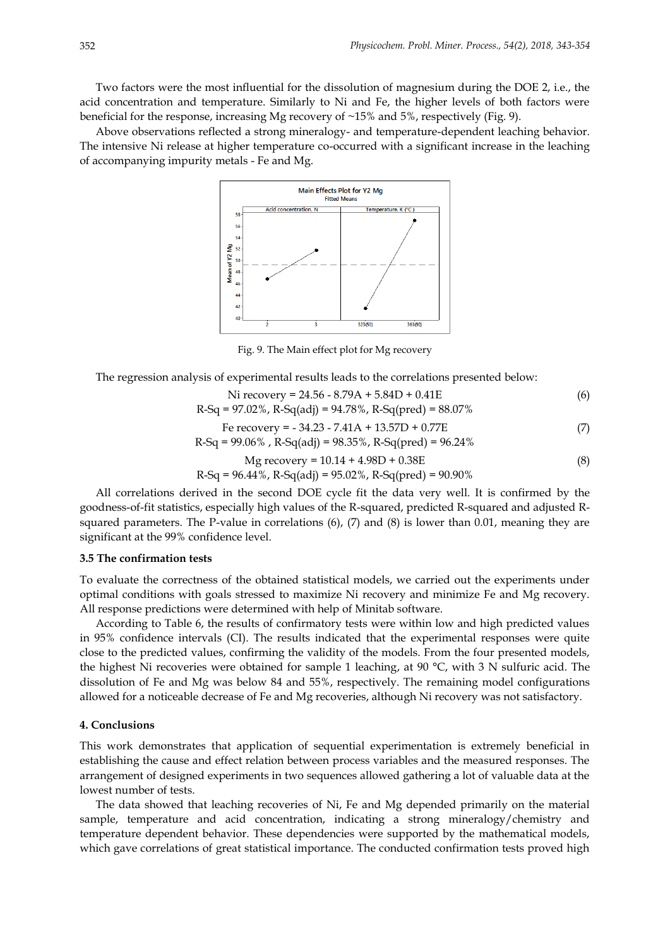Two factors were the most influential for the dissolution of magnesium during the DOE 2, i.e., the acid concentration and temperature. Similarly to Ni and Fe, the higher levels of both factors were beneficial for the response, increasing Mg recovery of ~15% and 5%, respectively (Fig. 9).

Above observations reflected a strong mineralogy- and temperature-dependent leaching behavior. The intensive Ni release at higher temperature co-occurred with a significant increase in the leaching of accompanying impurity metals - Fe and Mg.



Fig. 9. The Main effect plot for Mg recovery

The regression analysis of experimental results leads to the correlations presented below:

Ni recovery = 
$$
24.56 - 8.79A + 5.84D + 0.41E
$$
 (6)

$$
R-Sq = 97.02\%, R-Sq(adj) = 94.78\%, R-Sq(pred) = 88.07\%
$$
  
Fe recovery = -34.23 - 7.41A + 13.57D + 0.77E (7)

$$
R-Sq = 99.06\% \text{ , } R-Sq(adj) = 98.35\% \text{ , } R-Sq(pred) = 96.24\%
$$

$$
Mg \text{ recovery} = 10.14 + 4.98D + 0.38E \tag{8}
$$

$$
R-Sq = 96.44\%, R-Sq(adj) = 95.02\%, R-Sq(pred) = 90.90\%
$$

All correlations derived in the second DOE cycle fit the data very well. It is confirmed by the goodness-of-fit statistics, especially high values of the R-squared, predicted R-squared and adjusted Rsquared parameters. The P-value in correlations (6), (7) and (8) is lower than 0.01, meaning they are significant at the 99% confidence level.

## **3.5 The confirmation tests**

To evaluate the correctness of the obtained statistical models, we carried out the experiments under optimal conditions with goals stressed to maximize Ni recovery and minimize Fe and Mg recovery. All response predictions were determined with help of Minitab software.

According to Table 6, the results of confirmatory tests were within low and high predicted values in 95% confidence intervals (CI). The results indicated that the experimental responses were quite close to the predicted values, confirming the validity of the models. From the four presented models, the highest Ni recoveries were obtained for sample 1 leaching, at 90 °C, with 3 N sulfuric acid. The dissolution of Fe and Mg was below 84 and 55%, respectively. The remaining model configurations allowed for a noticeable decrease of Fe and Mg recoveries, although Ni recovery was not satisfactory.

## **4. Conclusions**

This work demonstrates that application of sequential experimentation is extremely beneficial in establishing the cause and effect relation between process variables and the measured responses. The arrangement of designed experiments in two sequences allowed gathering a lot of valuable data at the lowest number of tests.

The data showed that leaching recoveries of Ni, Fe and Mg depended primarily on the material sample, temperature and acid concentration, indicating a strong mineralogy/chemistry and temperature dependent behavior. These dependencies were supported by the mathematical models, which gave correlations of great statistical importance. The conducted confirmation tests proved high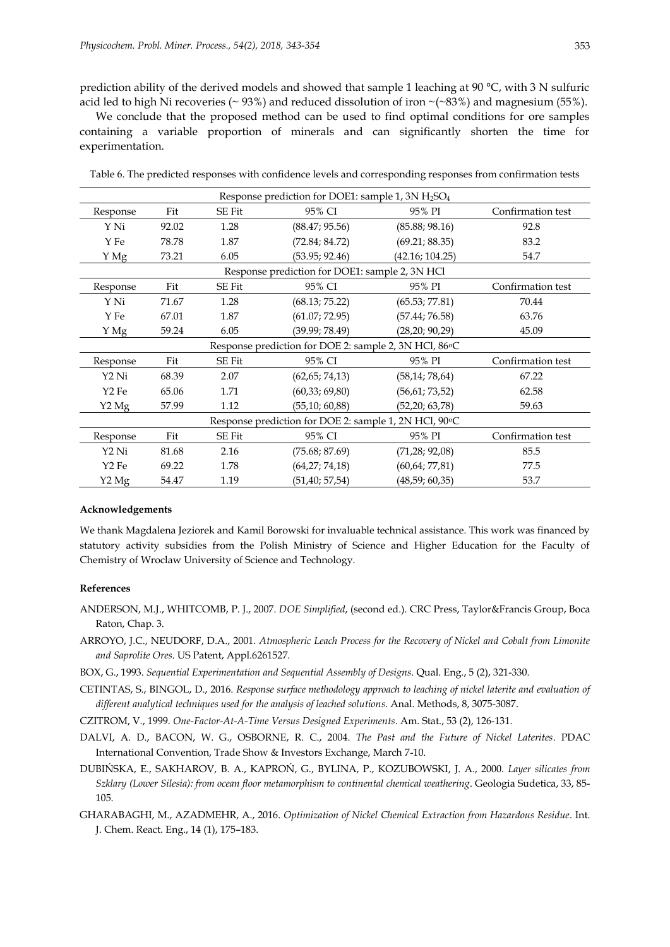prediction ability of the derived models and showed that sample 1 leaching at 90 °C, with 3 N sulfuric acid led to high Ni recoveries (~93%) and reduced dissolution of iron ~(~83%) and magnesium (55%).

We conclude that the proposed method can be used to find optimal conditions for ore samples containing a variable proportion of minerals and can significantly shorten the time for experimentation.

| Response prediction for DOE1: sample 1, $3N H_2SO_4$   |       |               |                                                       |                  |                   |  |  |  |
|--------------------------------------------------------|-------|---------------|-------------------------------------------------------|------------------|-------------------|--|--|--|
| Response                                               | Fit   | <b>SE Fit</b> | 95% CI                                                | 95% PI           | Confirmation test |  |  |  |
| Y Ni                                                   | 92.02 | 1.28          | (88.47; 95.56)                                        | (85.88; 98.16)   | 92.8              |  |  |  |
| Y Fe                                                   | 78.78 | 1.87          | (72.84; 84.72)                                        | (69.21; 88.35)   | 83.2              |  |  |  |
| Y Mg                                                   | 73.21 | 6.05          | (53.95; 92.46)                                        | (42.16; 104.25)  | 54.7              |  |  |  |
|                                                        |       |               | Response prediction for DOE1: sample 2, 3N HCl        |                  |                   |  |  |  |
| Response                                               | Fit   | <b>SE Fit</b> | 95% CI                                                | 95% PI           | Confirmation test |  |  |  |
| Y Ni                                                   | 71.67 | 1.28          | (68.13; 75.22)                                        | (65.53; 77.81)   | 70.44             |  |  |  |
| Y Fe                                                   | 67.01 | 1.87          | (61.07; 72.95)                                        | (57.44; 76.58)   | 63.76             |  |  |  |
| Y Mg                                                   | 59.24 | 6.05          | (39.99; 78.49)                                        | (28, 20; 90, 29) | 45.09             |  |  |  |
| Response prediction for DOE 2: sample 2, 3N HCl, 86 °C |       |               |                                                       |                  |                   |  |  |  |
| Response                                               | Fit   | <b>SE Fit</b> | 95% CI                                                | 95% PI           | Confirmation test |  |  |  |
| Y2 Ni                                                  | 68.39 | 2.07          | (62, 65; 74, 13)                                      | (58, 14; 78, 64) | 67.22             |  |  |  |
| Y2 Fe                                                  | 65.06 | 1.71          | (60, 33; 69, 80)                                      | (56, 61; 73, 52) | 62.58             |  |  |  |
| Y <sub>2</sub> Mg                                      | 57.99 | 1.12          | (55, 10; 60, 88)                                      | (52,20; 63,78)   | 59.63             |  |  |  |
|                                                        |       |               | Response prediction for DOE 2: sample 1, 2N HCl, 90°C |                  |                   |  |  |  |
| Response                                               | Fit   | <b>SE Fit</b> | 95% CI                                                | 95% PI           | Confirmation test |  |  |  |
| Y2 Ni                                                  | 81.68 | 2.16          | (75.68; 87.69)                                        | (71, 28; 92, 08) | 85.5              |  |  |  |
| Y2 Fe                                                  | 69.22 | 1.78          | (64,27; 74,18)                                        | (60, 64; 77, 81) | 77.5              |  |  |  |
| Y <sub>2</sub> Mg                                      | 54.47 | 1.19          | (51, 40; 57, 54)                                      | (48,59; 60,35)   | 53.7              |  |  |  |

Table 6. The predicted responses with confidence levels and corresponding responses from confirmation tests

#### **Acknowledgements**

We thank Magdalena Jeziorek and Kamil Borowski for invaluable technical assistance. This work was financed by statutory activity subsidies from the Polish Ministry of Science and Higher Education for the Faculty of Chemistry of Wroclaw University of Science and Technology.

# **References**

- ANDERSON, M.J., WHITCOMB, P. J., 2007. *DOE Simplified*, (second ed.). CRC Press, Taylor&Francis Group, Boca Raton, Chap. 3.
- ARROYO, J.C., NEUDORF, D.A., 2001. *Atmospheric Leach Process for the Recovery of Nickel and Cobalt from Limonite and Saprolite Ores*. US Patent, Appl.6261527.
- BOX, G., 1993. *Sequential Experimentation and Sequential Assembly of Designs*. Qual. Eng., 5 (2), 321-330.
- CETINTAS, S., BINGOL, D., 2016. *Response surface methodology approach to leaching of nickel laterite and evaluation of different analytical techniques used for the analysis of leached solutions*. Anal. Methods, 8, 3075-3087.
- CZITROM, V., 1999. *One-Factor-At-A-Time Versus Designed Experiments*. Am. Stat., 53 (2), 126-131.
- DALVI, A. D., BACON, W. G., OSBORNE, R. C., 2004. *The Past and the Future of Nickel Laterites*. PDAC International Convention, Trade Show & Investors Exchange, March 7-10.
- DUBIŃSKA, E., SAKHAROV, B. A., KAPROŃ, G., BYLINA, P., KOZUBOWSKI, J. A., 2000. *Layer silicates from Szklary (Lower Silesia): from ocean floor metamorphism to continental chemical weathering*. Geologia Sudetica, 33, 85- 105.
- GHARABAGHI, M., AZADMEHR, A., 2016. *Optimization of Nickel Chemical Extraction from Hazardous Residue*. Int. J. Chem. React. Eng., 14 (1), 175–183.